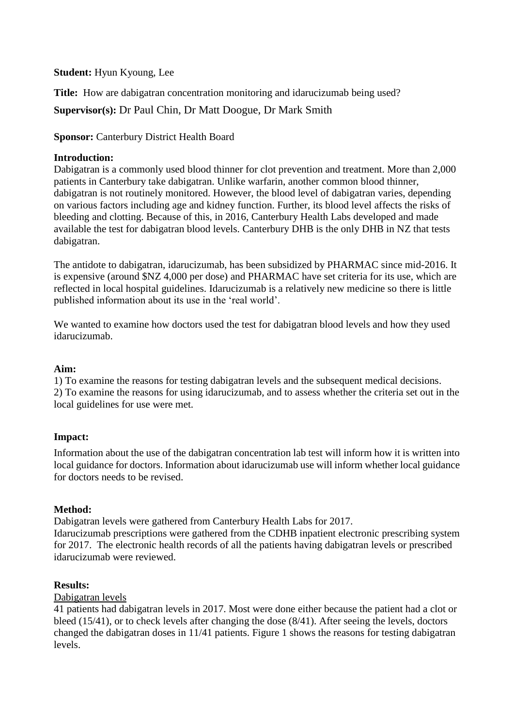## **Student:** Hyun Kyoung, Lee

**Title:** How are dabigatran concentration monitoring and idarucizumab being used? **Supervisor(s):** Dr Paul Chin, Dr Matt Doogue, Dr Mark Smith

**Sponsor:** Canterbury District Health Board

## **Introduction:**

Dabigatran is a commonly used blood thinner for clot prevention and treatment. More than 2,000 patients in Canterbury take dabigatran. Unlike warfarin, another common blood thinner, dabigatran is not routinely monitored. However, the blood level of dabigatran varies, depending on various factors including age and kidney function. Further, its blood level affects the risks of bleeding and clotting. Because of this, in 2016, Canterbury Health Labs developed and made available the test for dabigatran blood levels. Canterbury DHB is the only DHB in NZ that tests dabigatran.

The antidote to dabigatran, idarucizumab, has been subsidized by PHARMAC since mid-2016. It is expensive (around \$NZ 4,000 per dose) and PHARMAC have set criteria for its use, which are reflected in local hospital guidelines. Idarucizumab is a relatively new medicine so there is little published information about its use in the 'real world'.

We wanted to examine how doctors used the test for dabigatran blood levels and how they used idarucizumab.

## **Aim:**

1) To examine the reasons for testing dabigatran levels and the subsequent medical decisions. 2) To examine the reasons for using idarucizumab, and to assess whether the criteria set out in the local guidelines for use were met.

# **Impact:**

Information about the use of the dabigatran concentration lab test will inform how it is written into local guidance for doctors. Information about idarucizumab use will inform whether local guidance for doctors needs to be revised.

# **Method:**

Dabigatran levels were gathered from Canterbury Health Labs for 2017. Idarucizumab prescriptions were gathered from the CDHB inpatient electronic prescribing system for 2017. The electronic health records of all the patients having dabigatran levels or prescribed idarucizumab were reviewed.

## **Results:**

## Dabigatran levels

41 patients had dabigatran levels in 2017. Most were done either because the patient had a clot or bleed (15/41), or to check levels after changing the dose (8/41). After seeing the levels, doctors changed the dabigatran doses in 11/41 patients. Figure 1 shows the reasons for testing dabigatran levels.